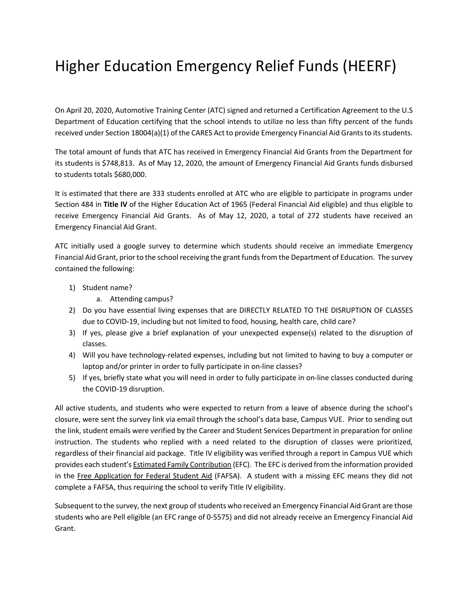## Higher Education Emergency Relief Funds (HEERF)

On April 20, 2020, Automotive Training Center (ATC) signed and returned a Certification Agreement to the U.S Department of Education certifying that the school intends to utilize no less than fifty percent of the funds received under Section 18004(a)(1) of the CARES Act to provide Emergency Financial Aid Grants to its students.

The total amount of funds that ATC has received in Emergency Financial Aid Grants from the Department for its students is \$748,813. As of May 12, 2020, the amount of Emergency Financial Aid Grants funds disbursed to students totals \$680,000.

It is estimated that there are 333 students enrolled at ATC who are eligible to participate in programs under Section 484 in **Title IV** of the Higher Education Act of 1965 (Federal Financial Aid eligible) and thus eligible to receive Emergency Financial Aid Grants. As of May 12, 2020, a total of 272 students have received an Emergency Financial Aid Grant.

ATC initially used a google survey to determine which students should receive an immediate Emergency Financial Aid Grant, prior to the school receiving the grant funds from the Department of Education. The survey contained the following:

- 1) Student name?
	- a. Attending campus?
- 2) Do you have essential living expenses that are DIRECTLY RELATED TO THE DISRUPTION OF CLASSES due to COVID-19, including but not limited to food, housing, health care, child care?
- 3) If yes, please give a brief explanation of your unexpected expense(s) related to the disruption of classes.
- 4) Will you have technology-related expenses, including but not limited to having to buy a computer or laptop and/or printer in order to fully participate in on-line classes?
- 5) If yes, briefly state what you will need in order to fully participate in on-line classes conducted during the COVID-19 disruption.

All active students, and students who were expected to return from a leave of absence during the school's closure, were sent the survey link via email through the school's data base, Campus VUE. Prior to sending out the link, student emails were verified by the Career and Student Services Department in preparation for online instruction. The students who replied with a need related to the disruption of classes were prioritized, regardless of their financial aid package. Title IV eligibility was verified through a report in Campus VUE which provides each student's **Estimated Family Contribution** (EFC). The EFC is derived from the information provided in the Free Application for Federal Student Aid (FAFSA). A student with a missing EFC means they did not complete a FAFSA, thus requiring the school to verify Title IV eligibility.

Subsequent to the survey, the next group of students who received an Emergency Financial Aid Grant are those students who are Pell eligible (an EFC range of 0-5575) and did not already receive an Emergency Financial Aid Grant.